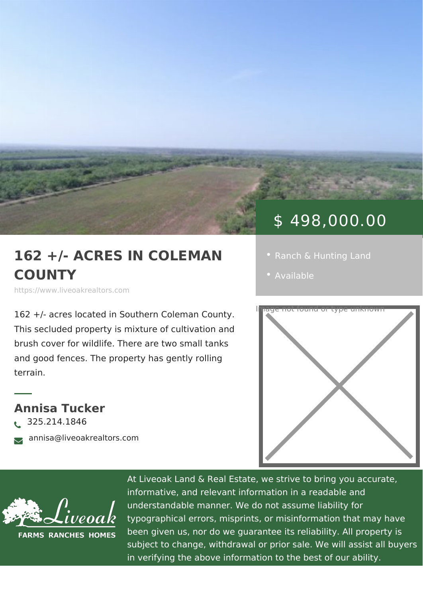## \$ 498,000.00

## 162 +/- ACRES IN COLEM . [Ranch & Hunting](https://www.liveoakrealtors.com/es_category/ranch-hunting-land/) Land COUNTY [Availa](https://www.liveoakrealtors.com/es_status/available/)ble

https://www.liveoakrealtors.com

162 +/- acres located in Southern Coleman and County. This secluded property is mixture of cullivation and brush cover for wildlife. There are two small tanks and good fences. The property has gently rolling terrain.

Annisa Tucker  $\lambda$ <sup>325.214.1846</sup> <sub>ðà</sub> annisa@liveoakrealtors.com



At Liveoak Land & Real Estate, we strive to brin informative, and relevant information in a reada understandable manner. We do not assume liabil typographical errors, misprints, or misinformatic been given us, nor do we guarantee its reliabilit subject to change, withdrawal or prior sale. We in verifying the above information to the best of